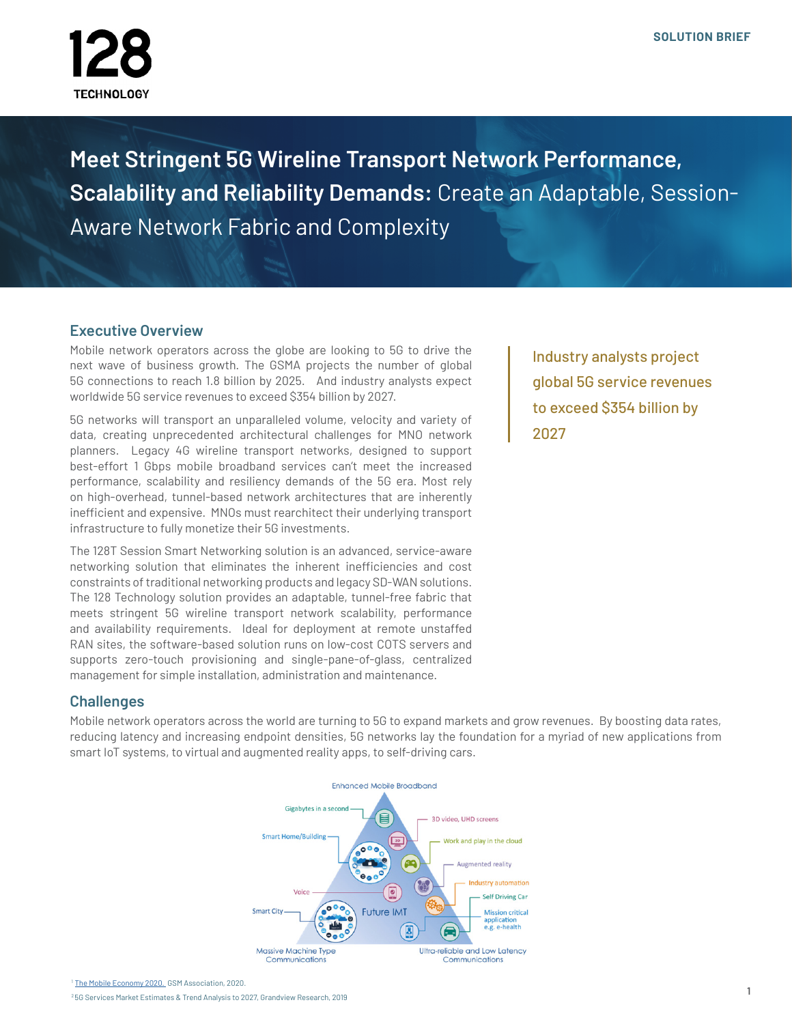

**Meet Stringent 5G Wireline Transport Network Performance, Scalability and Reliability Demands:** Create an Adaptable, Session-Aware Network Fabric and Complexity

### **Executive Overview**

Mobile network operators across the globe are looking to 5G to drive the next wave of business growth. The GSMA projects the number of global 5G connections to reach 1.8 billion by 2025. And industry analysts expect worldwide 5G service revenues to exceed \$354 billion by 2027.

5G networks will transport an unparalleled volume, velocity and variety of data, creating unprecedented architectural challenges for MNO network planners. Legacy 4G wireline transport networks, designed to support best-effort 1 Gbps mobile broadband services can't meet the increased performance, scalability and resiliency demands of the 5G era. Most rely on high-overhead, tunnel-based network architectures that are inherently inefficient and expensive. MNOs must rearchitect their underlying transport infrastructure to fully monetize their 5G investments.

The 128T Session Smart Networking solution is an advanced, service-aware networking solution that eliminates the inherent inefficiencies and cost constraints of traditional networking products and legacy SD-WAN solutions. The 128 Technology solution provides an adaptable, tunnel-free fabric that meets stringent 5G wireline transport network scalability, performance and availability requirements. Ideal for deployment at remote unstaffed RAN sites, the software-based solution runs on low-cost COTS servers and supports zero-touch provisioning and single-pane-of-glass, centralized management for simple installation, administration and maintenance.

Industry analysts project global 5G service revenues to exceed \$354 billion by 2027

### **Challenges**

Mobile network operators across the world are turning to 5G to expand markets and grow revenues. By boosting data rates, reducing latency and increasing endpoint densities, 5G networks lay the foundation for a myriad of new applications from smart IoT systems, to virtual and augmented reality apps, to self-driving cars.



1 [The Mobile Economy 2020.](https://www.gsma.com/mobileeconomy/wp-content/uploads/2020/03/GSMA_MobileEconomy2020_Global.pdf) GSM Association, 2020.

2 5G Services Market Estimates & Trend Analysis to 2027, Grandview Research, 2019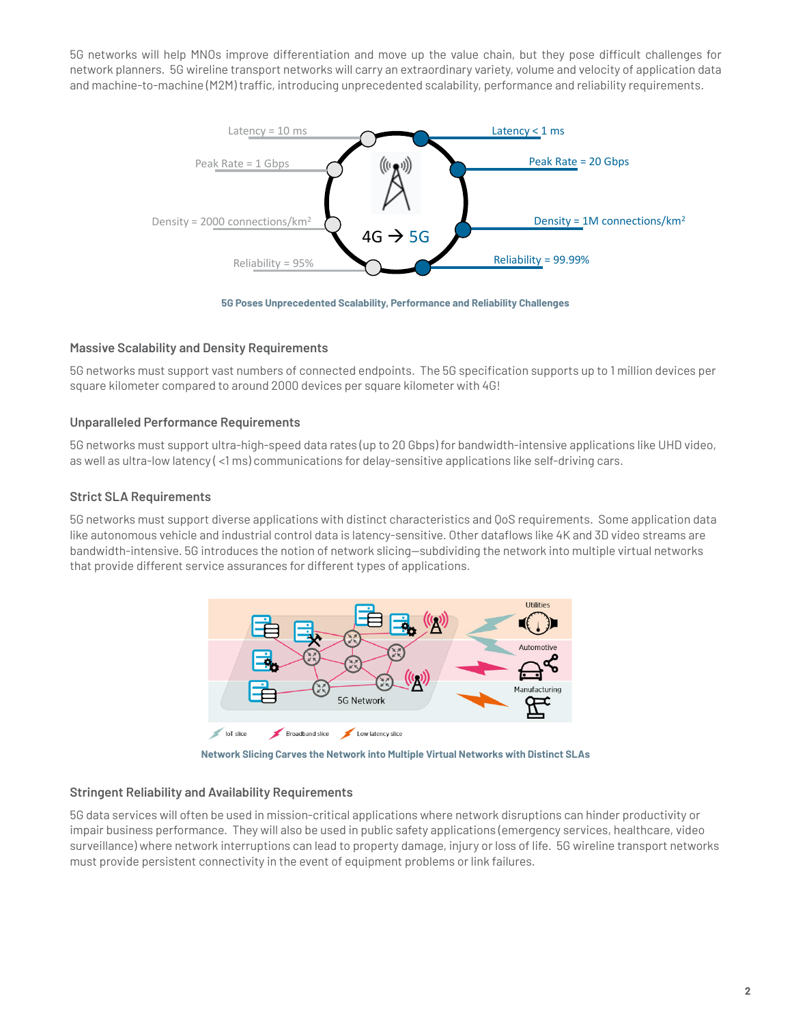5G networks will help MNOs improve differentiation and move up the value chain, but they pose difficult challenges for network planners. 5G wireline transport networks will carry an extraordinary variety, volume and velocity of application data and machine-to-machine (M2M) traffic, introducing unprecedented scalability, performance and reliability requirements.





#### **Massive Scalability and Density Requirements**

5G networks must support vast numbers of connected endpoints. The 5G specification supports up to 1 million devices per square kilometer compared to around 2000 devices per square kilometer with 4G!

#### **Unparalleled Performance Requirements**

5G networks must support ultra-high-speed data rates (up to 20 Gbps) for bandwidth-intensive applications like UHD video, as well as ultra-low latency ( <1 ms) communications for delay-sensitive applications like self-driving cars.

#### **Strict SLA Requirements**

5G networks must support diverse applications with distinct characteristics and QoS requirements. Some application data like autonomous vehicle and industrial control data is latency-sensitive. Other dataflows like 4K and 3D video streams are bandwidth-intensive. 5G introduces the notion of network slicing—subdividing the network into multiple virtual networks that provide different service assurances for different types of applications.



**Network Slicing Carves the Network into Multiple Virtual Networks with Distinct SLAs**

#### **Stringent Reliability and Availability Requirements**

5G data services will often be used in mission-critical applications where network disruptions can hinder productivity or impair business performance. They will also be used in public safety applications (emergency services, healthcare, video surveillance) where network interruptions can lead to property damage, injury or loss of life. 5G wireline transport networks must provide persistent connectivity in the event of equipment problems or link failures.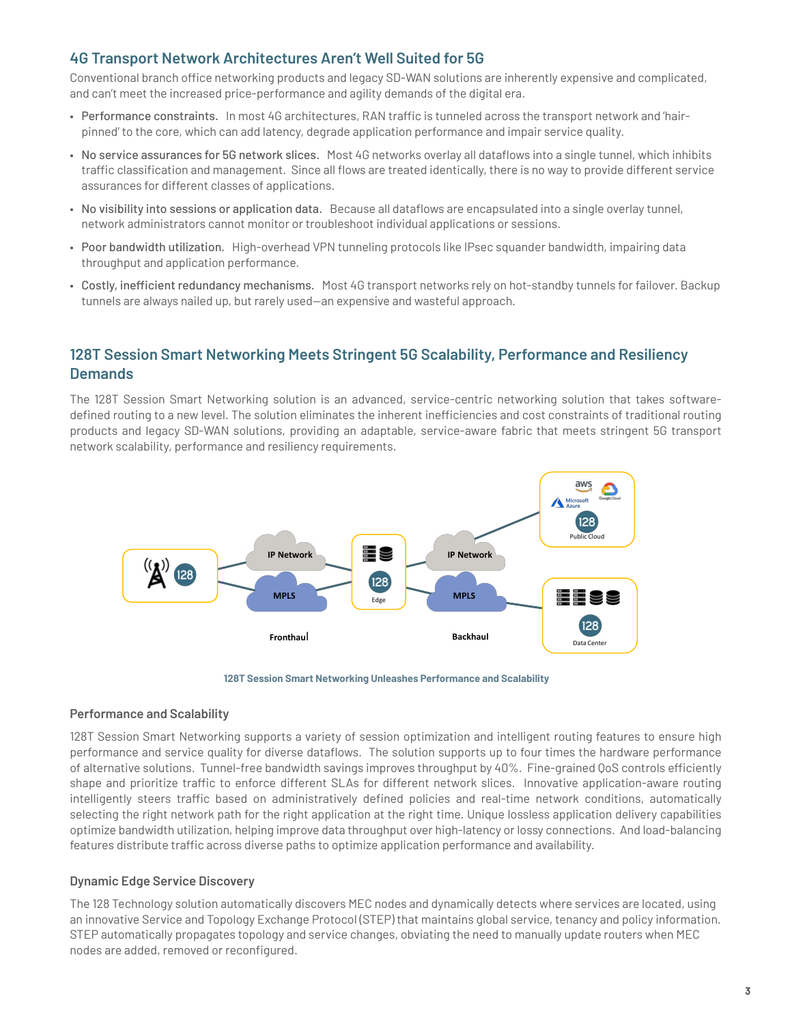## **4G Transport Network Architectures Aren't Well Suited for 5G**

Conventional branch office networking products and legacy SD-WAN solutions are inherently expensive and complicated, and can't meet the increased price-performance and agility demands of the digital era.

- Performance constraints. In most 4G architectures, RAN traffic is tunneled across the transport network and 'hairpinned' to the core, which can add latency, degrade application performance and impair service quality.
- No service assurances for 5G network slices. Most 4G networks overlay all dataflows into a single tunnel, which inhibits traffic classification and management. Since all flows are treated identically, there is no way to provide different service assurances for different classes of applications.
- No visibility into sessions or application data. Because all dataflows are encapsulated into a single overlay tunnel, network administrators cannot monitor or troubleshoot individual applications or sessions.
- Poor bandwidth utilization. High-overhead VPN tunneling protocols like IPsec squander bandwidth, impairing data throughput and application performance.
- Costly, inefficient redundancy mechanisms. Most 4G transport networks rely on hot-standby tunnels for failover. Backup tunnels are always nailed up, but rarely used—an expensive and wasteful approach.

# **128T Session Smart Networking Meets Stringent 5G Scalability, Performance and Resiliency Demands**

The 128T Session Smart Networking solution is an advanced, service-centric networking solution that takes softwaredefined routing to a new level. The solution eliminates the inherent inefficiencies and cost constraints of traditional routing products and legacy SD-WAN solutions, providing an adaptable, service-aware fabric that meets stringent 5G transport network scalability, performance and resiliency requirements.



**128T Session Smart Networking Unleashes Performance and Scalability**

#### **Performance and Scalability**

128T Session Smart Networking supports a variety of session optimization and intelligent routing features to ensure high performance and service quality for diverse dataflows. The solution supports up to four times the hardware performance of alternative solutions. Tunnel-free bandwidth savings improves throughput by 40%. Fine-grained QoS controls efficiently shape and prioritize traffic to enforce different SLAs for different network slices. Innovative application-aware routing intelligently steers traffic based on administratively defined policies and real-time network conditions, automatically selecting the right network path for the right application at the right time. Unique lossless application delivery capabilities optimize bandwidth utilization, helping improve data throughput over high-latency or lossy connections. And load-balancing features distribute traffic across diverse paths to optimize application performance and availability.

#### **Dynamic Edge Service Discovery**

The 128 Technology solution automatically discovers MEC nodes and dynamically detects where services are located, using an innovative Service and Topology Exchange Protocol (STEP) that maintains global service, tenancy and policy information. STEP automatically propagates topology and service changes, obviating the need to manually update routers when MEC nodes are added, removed or reconfigured.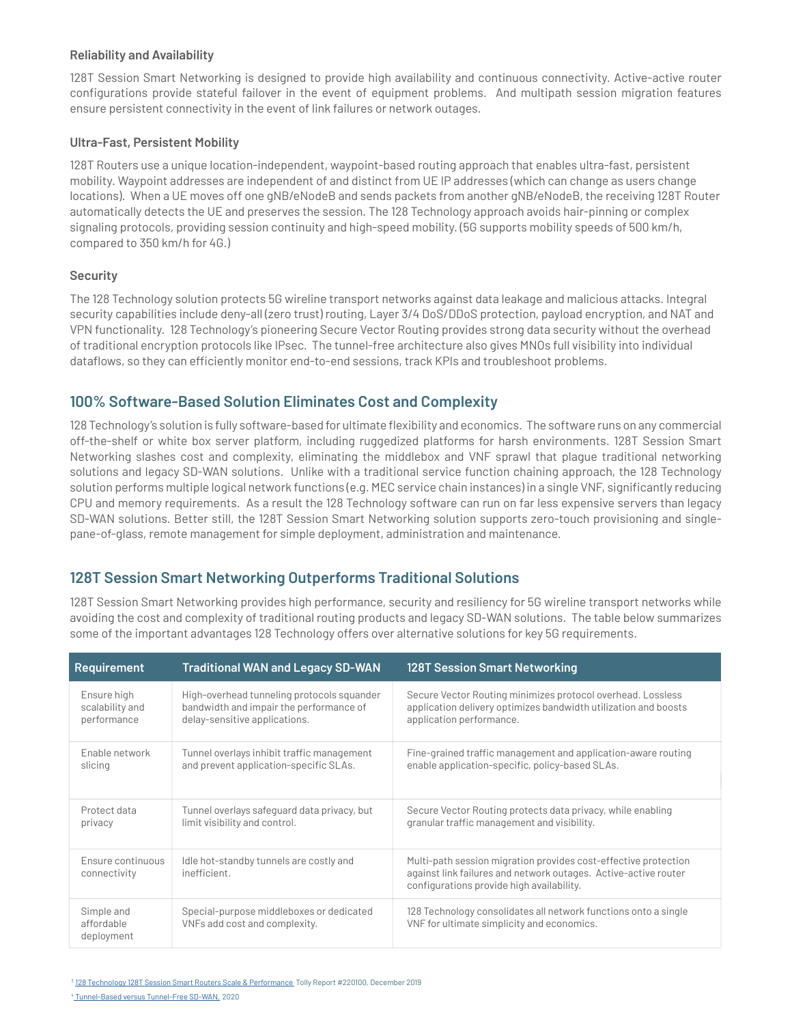#### **Reliability and Availability**

128T Session Smart Networking is designed to provide high availability and continuous connectivity. Active-active router configurations provide stateful failover in the event of equipment problems. And multipath session migration features ensure persistent connectivity in the event of link failures or network outages.

#### **Ultra-Fast, Persistent Mobility**

128T Routers use a unique location-independent, waypoint-based routing approach that enables ultra-fast, persistent mobility. Waypoint addresses are independent of and distinct from UE IP addresses (which can change as users change locations). When a UE moves off one gNB/eNodeB and sends packets from another gNB/eNodeB, the receiving 128T Router automatically detects the UE and preserves the session. The 128 Technology approach avoids hair-pinning or complex signaling protocols, providing session continuity and high-speed mobility. (5G supports mobility speeds of 500 km/h, compared to 350 km/h for 4G.)

#### **Security**

The 128 Technology solution protects 5G wireline transport networks against data leakage and malicious attacks. Integral security capabilities include deny-all (zero trust) routing, Layer 3/4 DoS/DDoS protection, payload encryption, and NAT and VPN functionality. 128 Technology's pioneering Secure Vector Routing provides strong data security without the overhead of traditional encryption protocols like IPsec. The tunnel-free architecture also gives MNOs full visibility into individual dataflows, so they can efficiently monitor end-to-end sessions, track KPIs and troubleshoot problems.

### **100% Software-Based Solution Eliminates Cost and Complexity**

128 Technology's solution is fully software-based for ultimate flexibility and economics. The software runs on any commercial off-the-shelf or white box server platform, including ruggedized platforms for harsh environments. 128T Session Smart Networking slashes cost and complexity, eliminating the middlebox and VNF sprawl that plague traditional networking solutions and legacy SD-WAN solutions. Unlike with a traditional service function chaining approach, the 128 Technology solution performs multiple logical network functions (e.g. MEC service chain instances) in a single VNF, significantly reducing CPU and memory requirements. As a result the 128 Technology software can run on far less expensive servers than legacy SD-WAN solutions. Better still, the 128T Session Smart Networking solution supports zero-touch provisioning and singlepane-of-glass, remote management for simple deployment, administration and maintenance.

## **128T Session Smart Networking Outperforms Traditional Solutions**

128T Session Smart Networking provides high performance, security and resiliency for 5G wireline transport networks while avoiding the cost and complexity of traditional routing products and legacy SD-WAN solutions. The table below summarizes some of the important advantages 128 Technology offers over alternative solutions for key 5G requirements.

| <b>Requirement</b>                     | <b>Traditional WAN and Legacy SD-WAN</b>                                  | 128T Session Smart Networking                                                                                                                                                   |
|----------------------------------------|---------------------------------------------------------------------------|---------------------------------------------------------------------------------------------------------------------------------------------------------------------------------|
| Ensure high                            | High-overhead tunneling protocols squander                                | Secure Vector Routing minimizes protocol overhead. Lossless                                                                                                                     |
| scalability and                        | bandwidth and impair the performance of                                   | application delivery optimizes bandwidth utilization and boosts                                                                                                                 |
| performance                            | delay-sensitive applications.                                             | application performance.                                                                                                                                                        |
| Enable network                         | Tunnel overlays inhibit traffic management                                | Fine-grained traffic management and application-aware routing                                                                                                                   |
| slicing                                | and prevent application-specific SLAs.                                    | enable application-specific, policy-based SLAs.                                                                                                                                 |
| Protect data                           | Tunnel overlays safeguard data privacy, but                               | Secure Vector Routing protects data privacy, while enabling                                                                                                                     |
| privacy                                | limit visibility and control.                                             | granular traffic management and visibility.                                                                                                                                     |
| Ensure continuous<br>connectivity      | Idle hot-standby tunnels are costly and<br>inefficient.                   | Multi-path session migration provides cost-effective protection<br>against link failures and network outages. Active-active router<br>configurations provide high availability. |
| Simple and<br>affordable<br>deployment | Special-purpose middleboxes or dedicated<br>VNFs add cost and complexity. | 128 Technology consolidates all network functions onto a single<br>VNF for ultimate simplicity and economics.                                                                   |

<sup>3</sup> 128 Technology 128T Session Smart Routers Scale & Performance\_Tolly Report #220100, December 2019 4  [Tunnel-Based versus Tunnel-Free SD-WAN,](https://www.128technology.com/tunnel-free_raymota/) 2020